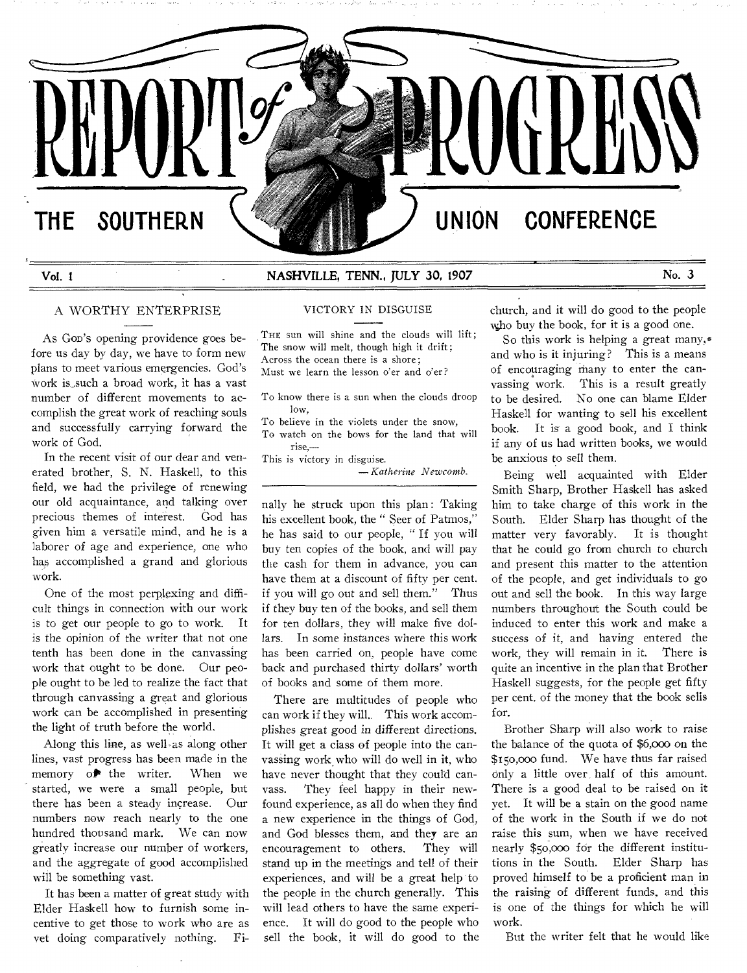

# **Vol. 1 NASHVILLE, TENN., JULY 30, 1907 No. 3**

#### A WORTHY ENTERPRISE

As GOD'S opening providence goes before us day by day, we have to form new plans to meet various emergencies. God's work is\_such a broad work, it has a vast number of different movements to accomplish the great work of reaching souls and successfully carrying forward the work of God.

In the recent visit of our dear and venerated brother, S. N. Haskell. to this field, we had the privilege of renewing our old acquaintance, and talking over precious themes of interest. God has given him a versatile mind, and he is a laborer of age and experience, one who has accomplished a grand and glorious work.

One of the most perplexing and difficult things in connection with our work is to get our people to go to work. It is the opinion of the writer that not one tenth has been done in the canvassing work that ought to be done. Our people ought to be led to realize the fact that through canvassing a great and glorious work can be accomplished in presenting the light of truth before, the world.

Along this line, as well as along other lines, vast progress has been made in the memory  $o^*$  the writer. When we started, we were a small people, but there has been a steady increase. Our numbers now reach nearly to the one hundred thousand mark. We can now greatly increase our number of workers, and the aggregate of good accomplished will be something vast.

It has been a matter of great study with Elder Haskell how to furnish some incentive to get those to work who are as vet doing comparatively nothing. FiVICTORY IN DISGUISE

THE sun will shine and the clouds will lift; The snow will melt, though high it drift; Across the ocean there is a shore; Must we learn the lesson o'er and o'er?

To know there is a sun when the clouds droop low,

To believe in the violets under the snow, To watch on the bows for the land that will rise,—

This is victory in disguise.

*— Katherine Newcomb.* 

nally he struck upon this plan: Taking his excellent book, the " Seer of Patmos," he has said to our people, " If you will buy ten copies of the book, and will pay the cash for them in advance, you can have them at a discount of fifty per cent. if you will go out and sell them." Thus if they buy ten of the books, and sell them for ten dollars, they will make five dollars. In some instances where this work has been carried on, people have come back and purchased thirty dollars' worth of books and some of them more.

There are multitudes of people who can work if they will.. This work accomplishes great good in different directions. It will get a class of people into the canvassing work, who will do well in it, who have never thought that they could canvass. They feel happy in their newfound experience, as all do when they find a new experience in the things of God, and God blesses them, and they are an encouragement to others. They will stand up in the meetings and tell of their experiences, and will be a great help to the people in the church generally. This will lead others to have the same experience. It will do good to the people who sell the book, it will do good to the church, and it will do good to the people who buy the book, for it is a good one.

So this work is helping a great many,\* and who is it injuring? This is a means of encouraging many to enter the canvassing work. This is a result greatly to be desired. No one can blame Elder Haskell for wanting to sell his excellent book. It is a good book, and I think if any of us had written books, we would be anxious to sell them.

Being well acquainted with Elder Smith Sharp, Brother Haskell has asked him to take charge of this work in the South. Elder Sharp has thought of the matter very favorably. It is thought that he could go from church to church and present this matter to the attention of the people, and get individuals to go out and sell the book. In this way large numbers throughout the South could be induced to enter this work and make a success of it, and having entered the work, they will remain in it. There is quite an incentive in the plan that Brother Haskell suggests, for the people get fifty per cent. of the money that the book sells for.

Brother Sharp will also work to raise the balance of the quota of \$6,000 on the \$15o,000 fund. We have thus far raised only a little over, half of this amount. There is a good deal to be raised on it yet. It will be a stain on the good name of the work in the South if we do not raise this sum, when we have received nearly \$5o,000 for the different institutions in the South. Elder Sharp has proved himself to be a proficient man in the raising of different funds, and this is one of the things for which he will work.

But the writer felt that he would like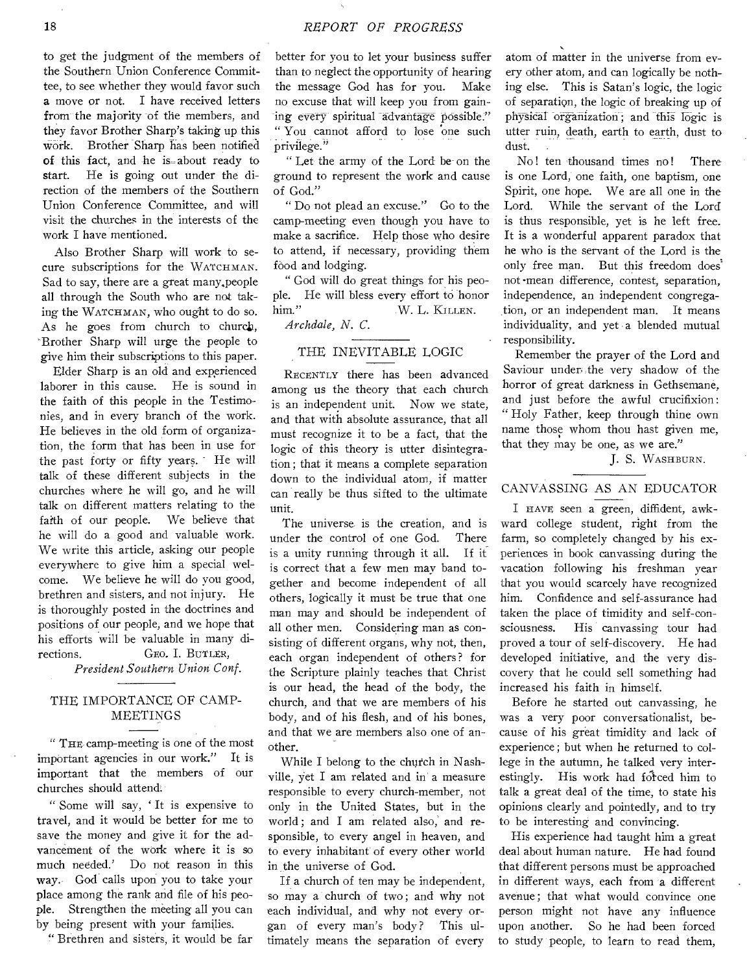to get the judgment of the members of the Southern Union Conference Committee, to see whether they would favor such a move or not. I have received letters from the majority of the members, and they favor Brother Sharp's taking up this work. Brother Sharp has been notified of this fact, and he is-about ready to start. He is going out under the direction of the members of the Southern Union Conference Committee, and will visit the churches in the interests of the work I have mentioned.

Also Brother Sharp will work to secure subscriptions for the WATCHMAN. Sad to say, there are a great many.people all through the South who are not taking the WATCHMAN, who ought to do so. As he goes from church to church, Brother Sharp will urge the people to give him their subscriptions to this paper.

Elder Sharp is an old and experienced laborer in this cause. He is sound in the faith of this people in the Testimonies, and in every branch of the work. He believes in the old form of organization, the form that has been in use for the past forty or fifty years. - He will talk of these different subjects in the churches where he will go, and he will talk on different matters relating to the faith of our people. We believe that he will do a good and valuable work. We write this article, asking our people everywhere to give him a special welcome. We believe he will do you good, brethren and sisters, and not injury. He is thoroughly posted in the doctrines and positions of our people, and we hope that his efforts will be valuable in many directions. GEO. I. BUTLER,

**President Southern Union Conf.** 

# THE IMPORTANCE OF CAMP-MEETINGS

" THE, camp-meeting is one of the most important agencies in our work." It is important that the members of our churches should attend.

" Some will say, ' It is expensive to travel, and it would be better for me to save the money and give it for the advancement of the work where it is so much needed.' Do not reason in this way.. God calls upon you to take your place among the rank and file of his people. Strengthen the meeting all you can by being present with your families.

" Brethren and sisters, it would be far

better for you to let your business suffer than to neglect the opportunity of hearing the message God has for you. Make no excuse that will keep you from gaining every spiritual advantage possible." " You cannot afford to lose one such privilege."

" Let the army of the Lord be- on the ground to represent the work and cause of God."

" Do not plead an excuse." Go to the camp-meeting even though you have to make a sacrifice. Help those who desire to attend, if necessary, providing them food and lodging.

" God will do great things for his people. He will bless every effort to honor him." W. L. KILLEN.

*Archdale, N. C.* 

### THE INEVITABLE LOGIC

RECENTLY there has been advanced among us the theory that each church is an independent unit. Now we state, and that with absolute assurance, that all must recognize it to be a fact, that the logic of this theory is utter disintegration ; that it means a complete separation down to the individual atom, if matter can really be thus sifted to the ultimate unit.

The universe is the creation, and is under the control of one God. There is a unity running through it all. If it is correct that a few men may band together and become independent of all others, logically it must be true that one man may and should be independent of all other men. Considering man as consisting of different organs, why not, then, each organ independent of others? for the Scripture plainly teaches that Christ is our head, the head of the body, the church, and that we are members of his body, and of his flesh, and of his bones, and that we are members also one of another.

While I belong to the church in Nashville, yet I am related and in a measure responsible to every church-member, not only in the United States, but in the world ; and I am related also, and responsible, to every angel in heaven, and to every inhabitant of every other world in the universe of God.

If a church of ten may be independent, so may a church of two ; and why not each individual, and why not every organ of every man's body? This ultimately means the separation of every

atom of matter in the universe from every other atom, and can logically be nothing else. This is Satan's logic, the logic of separation, the logic of breaking up of physical organization ; and this logic is utter ruin, death, earth to earth, dust to dust.

No! ten thousand times no! There is one Lord, one faith, one baptism, one Spirit, one hope. We are all one in the Lord. While the servant of the Lord is thus responsible, yet is he left free. It is a wonderful apparent paradox that he who is the servant of the Lord is the only free man. But this freedom does' not -mean difference, contest, separation, independence, an independent congregation, or an independent man. It means individuality, and yet a blended mutual responsibility.

Remember the prayer of the Lord and Saviour under, the very shadow of the horror of great darkness in Gethsemane, and just before the awful crucifixion: " Holy Father, keep through thine own name those whom thou hast given me, that they may be one, as we are."

J. S. WASHBURN.

# CANVASSING AS AN EDUCATOR

I HAVE seen a green, diffident, awkward college student, right from the farm, so completely changed by his experiences in book canvassing during the vacation following his freshman year that you would scarcely have recognized him. Confidence and self-assurance had taken the place of timidity and self-consciousness. His canvassing tour had proved a tour of self-discovery. He had developed initiative, and the very discovery that he could sell something had increased his faith in himself.

Before he started out canvassing, he was a very poor conversationalist, because of his great timidity and lack of experience ; but when he returned to college in the autumn, he talked very interestingly. His work had forced him to talk a great deal of the time, to state his opinions clearly and pointedly, and to try to be interesting and convincing.

His experience had taught him a great deal about human nature. He had found that different persons must be approached in different ways, each from a different avenue; that what would convince one person might not have any influence upon another. So he had been forced to study people, to learn to read them,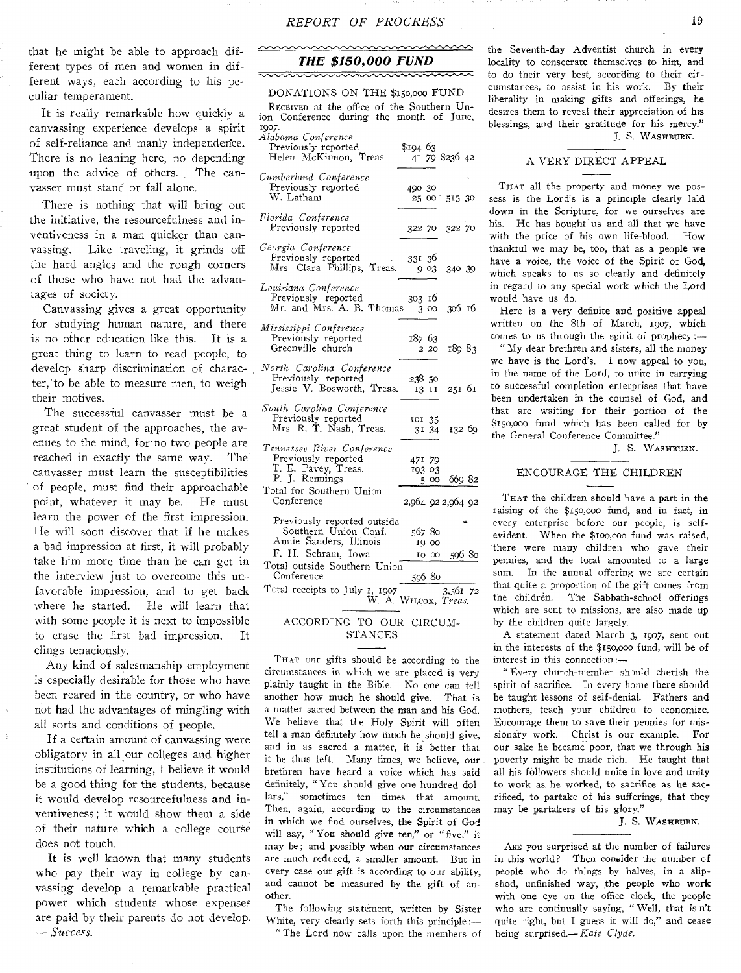nnnnnnnnnnnn

that he might be able to approach different types of men and women in different ways, each according to his peculiar temperament.

It is really remarkable how quickly a canvassing experience develops a spirit of self-reliance and manly independence. There is no leaning here, no depending upon the advice of others. The canvasser must stand or fall alone.

There is nothing that will bring out the initiative, the resourcefulness and inventiveness in a man quicker than canvassing. Like traveling, it grinds off the hard angles and the rough corners of those who have not had the advantages of society.

Canvassing gives a great opportunity for studying human nature, and there is no other education like this. It is a great thing to learn to read people, to develop sharp discrimination of character,'to be able to measure men, to weigh their motives.

The successful canvasser must be a great student of the approaches, the avenues to the mind, for-no two people are reached in exactly the same way. The canvasser must learn the susceptibilities of people, must find their approachable point, whatever it may be. He must learn the power of the first impression. He will soon discover that if he makes a bad impression at first, it will probably take him more time than he can get in the interview just to overcome this unfavorable impression, and to get back where he started. He will learn that with some people it is next to impossible to erase the first bad impression. It clings tenaciously.

Any kind of salesmanship employment is especially desirable for those who have been reared in the country, or who have not had the advantages of mingling with all sorts and conditions of people.

If a certain amount of canvassing were obligatory in all our colleges and higher institutions of learning, I believe it would be a good thing for the students, because it would develop resourcefulness and inventiveness ; it would show them a side of their nature which a college course does not touch.

It is well known that many students who pay their way in college by canvassing develop a remarkable practical power which students whose expenses are paid by their parents do not develop. *— Success.* 

# *THE \$150,000 FUND*

# DONATIONS ON THE \$150,000 FUND

REcEIvED at the office of the Southern Union Conference during the month of June, 1907.

| Alabama Conference                                                                                                                   |                  |       |                            |
|--------------------------------------------------------------------------------------------------------------------------------------|------------------|-------|----------------------------|
| Previously reported                                                                                                                  | \$194 63         |       |                            |
| Helen McKinnon, Treas.                                                                                                               |                  |       | 41 79 \$236 42             |
| Cumberland Conference<br>Previously reported<br>W. Latham                                                                            | 490 30           |       | 25 00 515 30               |
| Florida Conference<br>Previously reported                                                                                            |                  |       | 322 70 322 70              |
| Georgia Conference<br>Previously reported<br>Mrs. Clara Phillips, Treas.                                                             | 331 36           |       | 9 03 340 39                |
| Louisiana Conference<br>Previously reported<br>Mr. and Mrs. A. B. Thomas                                                             | 303 16           |       | 3 00 306 16                |
| Mississippi Conference<br>Previously reported<br>Greenville church                                                                   | 187 63           | 2 20  | 18983                      |
| North Carolina Conference<br>Previously reported<br>Jessie V. Bosworth, Treas.                                                       | 238 50           |       | 13 11 251 61               |
| South Carolina Conference<br>Previously reported<br>Mrs. R. T. Nash, Treas.                                                          | 101 35           | 31 34 | 132 69                     |
| Tennessee River Conference<br>Previously reported<br>T. E. Pavey, Treas.<br>P. J. Rennings<br>Total for Southern Union<br>Conference | 471 79<br>193 03 | 500   | 66982<br>2,964 92 2,964 92 |
| Previously reported outside<br>Southern Union Conf.<br>Annie Sanders, Illinois                                                       | 56780            | 19 00 |                            |
| F. H. Schram, Iowa                                                                                                                   |                  | 10 00 | 59680                      |
| Total outside Southern Union<br>Conference                                                                                           | 59680            |       |                            |
| Total receipts to July 1, 1907<br>W. A. WILCOX, Treas.                                                                               |                  |       | 3,561 72                   |
| ACCORDING TO OUR CIRCUM-<br><b>CHAMORS</b>                                                                                           |                  |       |                            |

STANCES

THAT our gifts should be according to the circumstances in which we are placed is very plainly taught in the Bible. No one can tell another how much he should give. That is a matter sacred between the man and his God. We believe that the Holy Spirit will often tell a man definitely how much he should give, and in as sacred a matter, it is better that it be thus left. Many times, we believe, our brethren have heard a voice which has said definitely, " You should give one hundred dollars," sometimes ten times that amount. Then, again, according to the circumstances in which we find ourselves, the Spirit of God will say, " You should give ten," or "five," it may be; and possibly when our circumstances are much reduced, a smaller amount. But in every case our gift is according to our ability, and cannot be measured by the gift of another.

The following statement, written by Sister White, very clearly sets forth this principle:— " The Lord now calls upon the members of

the Seventh-day Adventist church in every locality to consecrate themselves to him, and to do their very best, according to their circumstances, to assist in his work. By their liberality in making gifts and offerings, he desires them to reveal their appreciation of his blessings, and their gratitude for his mercy." J. S. WASHBURN.

#### A VERY DIRECT APPEAL

THAT all the property and money we possess is the Lord's is a principle clearly laid down in the Scripture, for we ourselves are his. He has bought us and all that we have with the price of his own life-blood. How thankful we may be, too, that as a people we have a voice, the voice of the Spirit of God, which speaks to us so clearly and definitely in regard to any special work which the Lord would have us do.

Here is a very definite and positive appeal written on the 8th of March, 1907, which comes to us through the spirit of prophecy:—

" My dear brethren and sisters, all the money we have is the Lord's. I now appeal to you, in the name of the Lord, to unite in carrying to successful completion enterprises that have been undertaken in the counsel of God, and that are waiting for their portion of the \$15o,000 fund which has been called for by the General Conference Committee."

J. S. WASHBURN.

#### ENCOURAGE THE CHILDREN

THAT the children should have a part in the raising of the \$15o,000 fund, and in fact, in every enterprise before our people, is selfevident. When the \$100,0oo fund was raised, there were many children who gave their pennies, and the total amounted to a large sum. In the annual offering we are certain that quite a proportion of the gift comes from<br>the children. The Sabbath-school offerings The Sabbath-school offerings which are sent to missions, are also made up by the children quite largely.

A statement dated March 3, 1907, sent out in the interests of the \$15o,00o fund, will be of interest in this connection :—

" Every church-member should cherish the spirit of sacrifice. In every home there should be taught lessons of self-denial. Fathers and mothers, teach your children to economize. Encourage them to save their pennies for missionary work. Christ is our example. For our sake he became poor, that we through his poverty might be made rich. He taught that all his followers should unite in love and unity to work as, he worked, to sacrifice as he sacrificed, to partake of his sufferings, that they may be partakers of his glory."

J. S. WASHBUBN.

ARE you surprised at the number of failures in this world? Then consider the number of people who do things by halves, in a slipshod, unfinished way, the people who work with one eye on the office clock, the people who are continually saying, " Well, that is n't quite right, but I guess it will do," and cease being surprised.—Kate *Clyde.*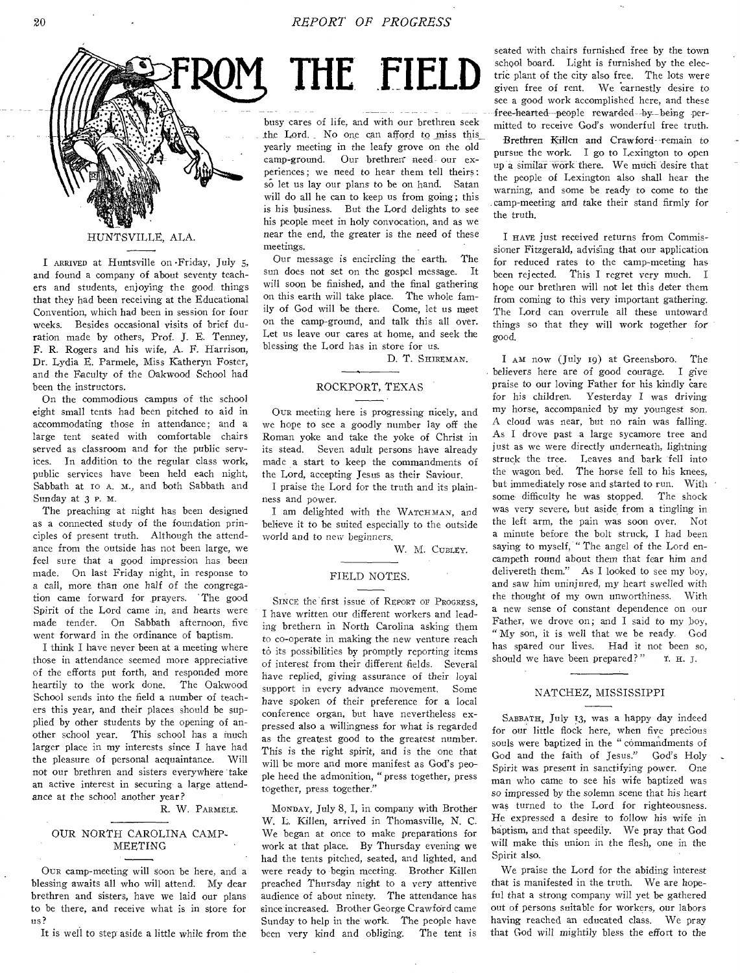

#### HUNTSVILLE, ALA.

I ARRIVED at Huntsville on •Friday, July 5, and found a company of about seventy teachers and students, enjoying the good things that they had been receiving at the Educational Convention, which had been in session for four weeks. Besides occasional visits of brief duration made by others, Prof. J. E. Tenney, F. R. Rogers and his wife, A. E. Harrison, Dr. Lydia E. Parmele, Miss Katheryn Foster, and the Faculty of the Oakwood School had been the instructors.

On the commodious campus of the school eight small tents had been pitched to aid in accommodating those in attendance; and a large tent seated with comfortable chairs served as classroom and for the public services. In addition to the regular class work, public services have been held each night, Sabbath at 10 A. M., and both Sabbath and Sunday at 3 P. H.

The preaching at night has been designed as a connected study of the foundation principles of present truth. Although the attendance from the outside has not been large, we feel sure that a good impression has been made. On last Friday night, in response to a call, more than one half of the congregation came forward for prayers. ' The good Spirit of the Lord came in, and hearts were made tender. On Sabbath afternoon, five went forward in the ordinance of baptism.

I think I have never been at a meeting where those in attendance seemed more appreciative of the efforts put forth, and responded more heartily to the work done. The Oakwood School sends into the field a number of teachers this year, and their places should be supplied by other students by the opening of another school year. This school has a much larger place in my interests since I have had the pleasure of personal acquaintance. Will not our brethren and *sisters* everywhere take an active interest in securing a large attendance at the school another year?

R. W. PARMELE.

# OUR NORTH CAROLINA CAMP-MEETING

OuR camp-meeting will soon be here, and a blessing awaits all who will attend. My dear brethren and sisters, have we laid our plans to be there, and receive what is in store for us?

It is well to step aside a little while from the

# THE FIELD

busy cares of life, and with our brethren seek the Lord. No one can afford to miss this yearly meeting in the leafy grove on the old camp-ground. Our brethren need our experiences ; we need to hear them tell theirs: so let us lay our plans to be on hand. Satan will do all he can to keep us from going; this is his business. But the Lord delights to see his people meet in holy convocation, and as we near the end, the greater is the need of these meetings.

Our message is encircling the earth. The sun does not set on the gospel message. It will soon be finished, and the final gathering on this earth will take place. The whole family of God will be there. Come, let us meet on the camp-ground, and talk this all over. Let us leave our cares at home, and seek the blessing the Lord has in store for us.

D. T. SHIREMAN.

# ROCKPORT, TEXAS

OuR meeting here is progressing nicely, and we hope to see a goodly number lay off the Roman yoke and take the yoke of Christ in its stead. Seven adult persons have already made a start to keep the commandments of the Lord, accepting Jesus as their Saviour.

I praise the Lord for the truth and its plainness and power.

I am delighted with the WATCHMAN, and believe it to be suited especially to the outside world and to new beginners.

W. M. CUBLEY.

#### FIELD NOTES.

SINCE the first issue of REPORT OF PROGRESS. I have written our different workers and leading brethern in North Carolina asking them to co-operate in making the new venture reach to its possibilities by promptly reporting items of interest from their different fields. Several have replied, *giving* assurance of their loyal support in every advance movement. Some have spoken *of* their preference for a local conference organ, but have nevertheless expressed also a willingness for what is regarded as the greatest good to the greatest number. This is the right spirit, and is the one that will be more and more manifest as God's people heed the admonition, "press together, press together, press together."

MONDAY, July 8, I, in company with Brother W. L. Killen, arrived in Thomasville, N. C. We began at once to make preparations for work at that place. By Thursday evening we had the tents pitched, seated, and lighted, and were ready to begin meeting. Brother Killen preached Thursday night to a very attentive audience of about ninety. The attendance has since increased. Brother George Crawford came Sunday to help in the work. The people have been very kind and obliging. The tent is

seated with chairs furnished free by the town school board. Light is furnished by the electric plant of the city also free. The lots were given free of rent. We earnestly desire to see a good work accomplished here, and these free-hearted people rewarded by being permitted to receive God's wonderful free truth.

-Brethren Killen and Crawford remain to pursue the work. I go to Lexington to open up a similar work there. We much desire that the people of Lexington also shall hear the warning, and some be ready to come to the camp-meeting and take their stand firmly for the truth.

I HAVE just received returns from Commissioner Fitzgerald, advising that our application for reduced rates to the camp-meeting has been rejected. This I regret very much. I hope our brethren will not let this deter them from coming to this very important gathering. The Lord can overrule all these untoward things so that they will work together for good.

I AM now (July 19) at Greensboro. The believers here are of good courage. I *give*  praise to our loving Father for his kindly care for *his* children. Yesterday I was driving my horse, accompanied by my youngest son. A cloud was near, but no rain was falling. As I drove past a large sycamore tree and just as we were directly underneath, lightning struck the tree. Leaves and bark fell into the wagon bed. The horse fell to his knees, but immediately rose and started to run. With some difficulty he was stopped. The shock was very severe, but aside from a tingling in the left arm, the pain was soon over. Not a minute before the bolt struck, I had been saying to myself, "The angel of the Lord encampeth round about them that fear him and delivereth them." As I looked to see my boy, and saw him uninjured, my heart swelled with the thought of my own unworthiness. With a new sense of constant dependence on our Father, we drove on; and I said to my boy, "My son, it is well that we be ready. God has spared our lives. Had it not been so, should we have been prepared?" T. H. J.

# NATCHEZ, MISSISSIPPI

SABBATH, July 13, was a happy day indeed for our little flock here, when five precious souls were baptized in the " commandments of God and the faith of Jesus." God's Holy Spirit was present in sanctifying power. One man who came to see his wife baptized was *so* impressed by the solemn scene that his heart was turned to the Lord for righteousness. He expressed a desire to follow his wife in baptism, and that speedily. We pray that God will make this union in the flesh, one in the Spirit also.

We praise the Lord for the abiding interest that is manifested in the truth. We are hopeful that a strong company will yet be gathered out of persons suitable for workers, our labors having reached an educated class. We pray that God will mightily *bless* the effort to the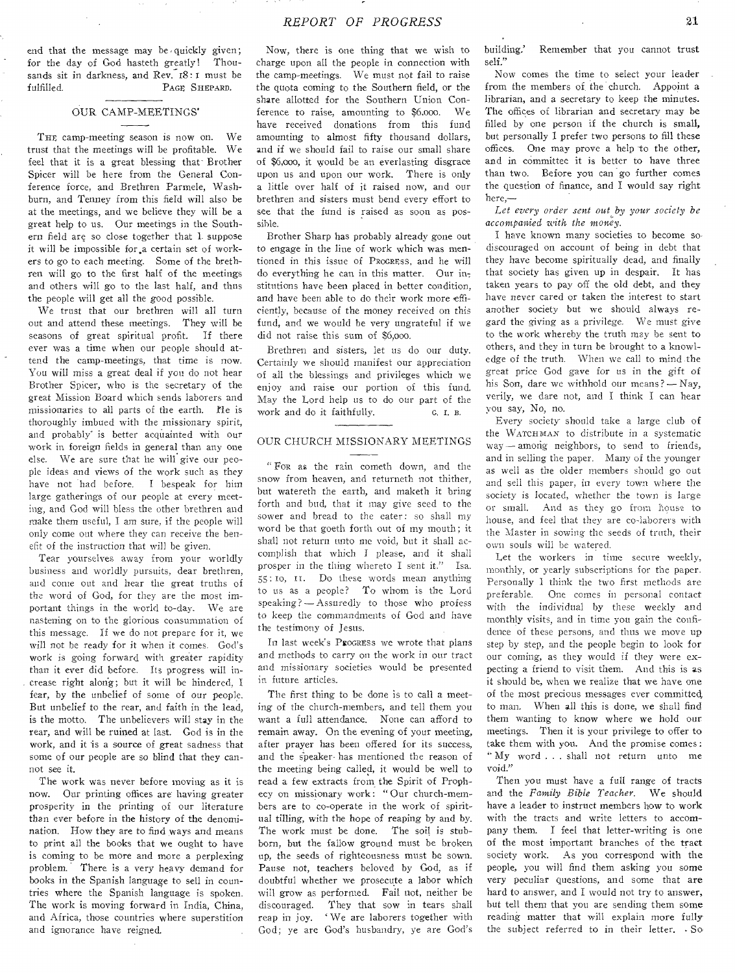#### OUR CAMP-MEETINGS'

THE camp-meeting season is now on. We trust that the meetings will be profitable. We feel that it is a great blessing that-Brother Spicer will be here from the General Conference force, and Brethren Parmele, Washburn, and Tenney from this field will also be at the meetings, and we believe they will be a great help to us. Our meetings in the Southern field are so close together that I. suppose it will be impossible for.a certain set of workers to go to each meeting. Some of the brethren will go to the first half of the meetings and others will go to the last half, and thus the people will get all the good possible.

We trust that our brethren will all turn out and attend these meetings. They will be seasons of great spiritual profit. If there ever was a time when our people should attend the camp-meetings, that time is now. You will miss a great deal if you do not hear Brother Spicer, who is the secretary of the great Mission Board which sends laborers and missionaries to all parts of the earth. He is thoroughly imbued with the missionary spirit, and probably is better acquainted with our work in foreign fields in general than any one else. We are sure that he will give our people ideas and views of the work such as they have not had before. I bespeak for him large gatherings of our people at every meeting, and God will bless the other brethren and make them useful, I am sure, if the people will only come out where they can receive the benefit of the instruction that will be given.

Tear yourselves away from your worldly business and worldly pursuits, dear brethren, and come out and hear the great truths of the word of God, for they are the most important things in the world to-day. We are nastening on to the glorious consummation of this message. If we do not prepare for it, we will not be ready for it when it comes. God's work is going forward with greater rapidity than it ever did before. Its progress will in crease right along; but it will be hindered, I fear, by the unbelief of some of our people. But unbelief to the rear, and faith in the lead, is the motto. The unbelievers will stay in the rear, and will be ruined at last. God is in the work, and it 'is a source of great sadness that some of our people are so blind that they cannot see it.

The work was never before moving as it is now. Our printing offices are having greater prosperity in the printing of our literature than ever before in the history of the denomination. How they are to find ways and means to print all the books that we ought to have is coming to be more and more a perplexing problem." There is a very heavy demand for books in the Spanish language to sell in countries where the Spanish language is spoken. The work is moving forward in India, China, and Africa, those countries where superstition and ignorance have reigned.

Now, there is one thing that we wish to charge upon all the people in connection with the camp-meetings. We must not fail to raise the quota coming to the Southern field, or the share allotted for the Southern Union Conference to raise, amounting to \$6,000. We have received donations from this fund amounting to almost fifty thousand dollars, and if we should fail to raise our small share of \$6,000, it would be an everlasting disgrace upon us and upon our work. There is only a little over half of it raised now, and our brethren and sisters must bend every effort to see that the fund is raised as soon as possible.

Brother Sharp has probably already gone out to engage in the line of work which was mentioned in this issue of PROGRESS, and he will do everything he can in this matter. Our institutions have been placed in better condition, and have been able to do their work more efficiently, because of the money received on this fund, and we would be very ungrateful if we did not raise this sum of \$6,000.

Brethren and sisters, let us do our duty. Certainly we should manifest our appreciation of all the blessings and privileges which we enjoy and raise our portion of this fund. May the Lord help us to do our part of the work and do it faithfully. G. I. B.

#### OUR CHURCH MISSIONARY MEETINGS

" FoR as the rain cometh down, and the snow from heaven, and returneth not thither, but watereth the earth, and maketh it bring forth and bud, that it may give seed to the sower and bread to the eater: so shall my word be that goeth forth out of my mouth; it shall not return unto me void, but it shall accomplish that which I please, and it shall prosper in the thing whereto I sent it." Isa. 55: to, II. Do these words mean anything to us as a people? To whom is the Lord speaking? — Assuredly to those who profess to keep the commandments of God and have the testimony of Jesus.

In last week's ProGRESS we wrote that plans and methods to carry on the work in our tract and missionary societies would be presented in future articles.

The first thing to be done is to call a meeting of the church-members, and tell them you want a full attendance. None can afford to remain away. On the evening of your meeting, after prayer has been offered for its success, and the speaker- has mentioned the reason of the meeting being called, it would be well to read a few extracts from the Spirit of Prophecy on missionary work: " Our church-members are to co-operate in the work of spiritual tilling, with the hope of reaping by and by. The work must be done. The soil is stubborn, but the fallow ground must be broken up, the seeds of righteousness must be sown. Pause not, teachers beloved by God, as if doubtful whether we prosecute a labor which will grow as performed. Fail not, neither be discouraged. They that sow in tears shall reap in joy. ' We are laborers together with God; ye are God's husbandry, ye are God's building.' Remember that you cannot trust self."

Now comes the time to select your leader from the members of the church. Appoint a librarian, and a secretary to keep the minutes. The offices of librarian and secretary may be filled by one person if the church is small, but personally I prefer two persons to fill these offices. One may prove a help to the other, and in committee it is better to have three than two. Before you can go further comes the question of finance, and I would say right here,—

Let every order sent out by your society be *accompanied with the money.* 

I have known many societies to become so, discouraged on account of being in debt that they have become spiritually dead, and finally that society has given up in despair. It has taken years to pay off the old debt, and they have never cared or taken the interest to start another society but we should always regard the giving as a privilege. We must give to the work whereby the truth may be sent to others, and they in turn be brought to a knowledge of the truth. When we call to mind the great price God gave for us in the gift of his Son, dare we withhold our means? — Nay, verily, we dare not, and I think I can hear you say, No, no.

Every society' should take a large club of the WATCHMAN to distribute in a systematic way—among neighbors, to send to friends, and in selling the paper. Many of the younger as well as the older members should go out and sell this paper, in every town where the society is located, whether the town is large or small. And as they go from house to house, and feel that they are co-laborers with the Master in sowing the seeds of truth, their own souls will be watered.

Let the workers in time secure weekly, monthly, or yearly subscriptions for the paper. Personally I think the two first methods are preferable. One comes in personal contact with the individual by these weekly and monthly visits, and in time you gain the confidence of these persons, and thus we move up step by step, and the people begin to look for our coming, as they would if they were expecting a friend to visit them. And this is as it should be, when we realize that we have one of the most precious messages ever committed, to man. When all this is done, we shall find them wanting to know where we hold our meetings. Then it is your privilege to offer to take them with you. And the promise comes: My word . . . shall not return unto me void."

Then you must have a full range of tracts and the *Family Bible Teacher.* We should have a leader to instruct members how to work with the tracts and write letters to accompany them. I feel that letter-writing is one of the most important branches of the tract society work. As you correspond with the people, you will find them asking you some very peculiar questions, and some that are hard to answer, and I would not try to answer, but tell them that you are sending them some reading matter that will explain more fully the subject referred to in their letter. . *So*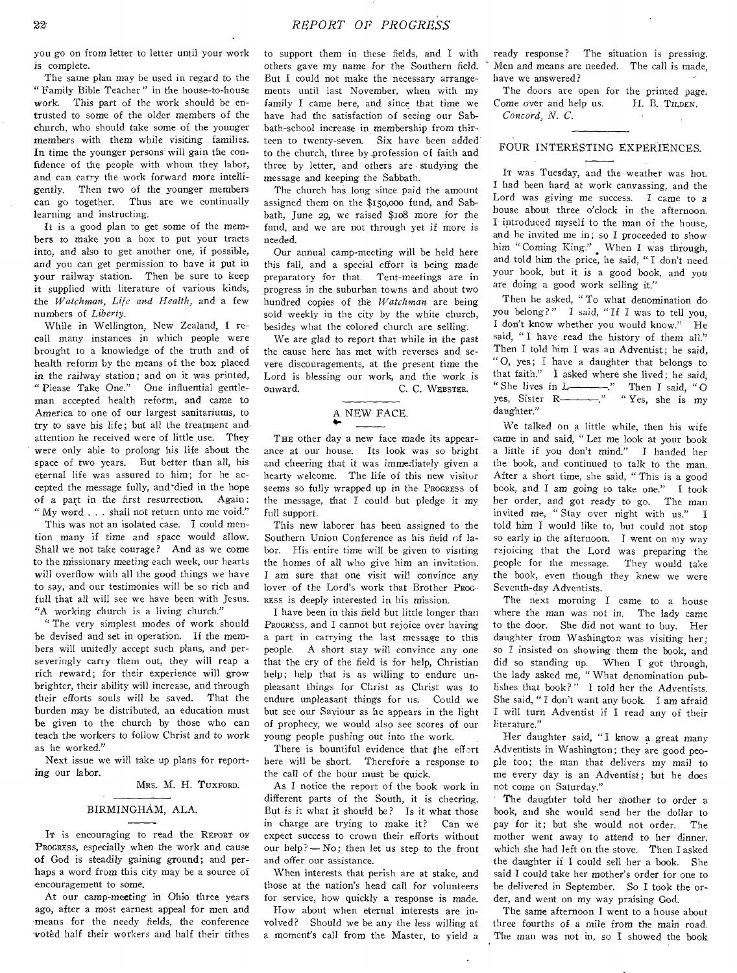you go on from letter to letter until your work is complete.

The same plan may be used in regard to the " Family Bible Teacher " in the house-to-house work. This part of the work should be entrusted to some of the older members of the church, who should take some of the younger members with them while visiting families. In time the younger persons will gain the confidence of the people with whom they labor, and can carry the work forward more intelligently. Then two of the younger members can go together. Thus are we continually learning and instructing.

It is a good plan to get some of the members to make you a box to put your tracts into, and also to get another one, if possible, and you can get permission to have it put in your railway station. Then be sure to keep it supplied with literature of various kinds, the *Watchman, Life and Health,* and a few numbers of *Liberty.* 

While in Wellington, New Zealand, I recall many instances in which people were brought to a knowledge of the truth and of health reform by the means of the box placed in the railway station; and on it was printed, " Please Take One." One influential gentleman accepted health reform, and came to America to one of our largest sanitariums, to try to save his life; but all the treatment and, attention he received were of little use. They were only able to prolong his life about the space of two years. But better than all, his eternal life was assured to him; for he accepted the message fully, and\*died in the hope of a part in the first resurrection. Again: " My word . . . shall not return unto me void."

This was not an isolated case. I could mention many if time and space would allow. Shall we not take courage? And as we come to the missionary meeting each week, our hearts will overflow with all the good things we have to say, and our testimonies will be so rich and full that all will see we have been with Jesus. "A working church is a living church."

" The very simplest modes of work should be devised and set in operation. If the members will unitedly accept such plans, and perseveringly carry them out, they will reap a rich reward; for their experience will grow brighter, their ability will increase, and through their efforts souls will be saved. That the burden may be distributed, an education must be given to the church by those who can teach the workers to follow Christ and to work as he worked."

Next issue we will take up plans for reporting *our* labor.

MRS. M. H. TUXFORD.

#### BIRMINGHAM, ALA.

In is encouraging to read the REPORT OF PROGRESS, especially when the work and cause of God is steadily gaining ground; and perhaps a word from this city may be a source of encouragement to some.

At our camp-meeting in Ohio three years ago, after a most earnest appeal for men and means for the needy fields, the conference -voted half their workers and half their tithes to support them in these fields, and I with others gave my name for the Southern field. But I could not make the necessary arrangements until last November, when with my family I came here, and since that time we have had the satisfaction of seeing our Sabbath-school increase in membership from thirteen to twenty-seven. Six have been added to the church, three by \_profession of faith and three by letter, and others are • studying the message and keeping the Sabbath.

The church has long since paid the amount assigned them on the \$15o,000 fund, and Sabbath, June 29, we raised \$1o8 more for the fund, and we are not through yet if more is needed.

Our annual camp-meeting will be held here this fall, and a special effort is being made preparatory for that. Tent-meetings are in progress in the suburban towns and about two hundred copies of the *Watchman* are being sold weekly in the city by the white church, besides what the colored church are selling.

We are glad to report that while in the past the cause here has met with reverses and severe discouragements, at the present time the Lord is blessing our work, and the work is onward. C. C. WEBSTER,

# A NEW FACE.

THE other day a new face made its appearance at our house. Its look was so bright and cheering that it was immediately given a hearty welcome. The life of this new visitor seems so fully wrapped up in the PROGRESS of the message, that I could but pledge it my full support.

This new laborer has been assigned to the Southern Union Conference as his field of labor. His entire time will be given to visiting the homes of all who give him an invitation. I am sure that one visit will convince any lover of the Lord's work that Brother PROG-RESS is deeply interested in his mission.

I have been in this field but little longer than PROGRESS, and I cannot but rejoice over having a part in carrying the last message to this people. A short stay will convince any one that the cry of the field is for help, Christian help; help that is as willing to endure unpleasant things for Christ as Christ was to endure unpleasant things for us. Could we but see our Saviour as he appears in the light of prophecy, we would also see scores of our young people pushing out into the work.

There is bountiful evidence that the effort here will be short. Therefore a response to the call of the hour must be quick.

As I notice the report of the book work in different parts of the South, it is cheering. But is it what it should be? Is it what those in charge are trying to make it? Can we expect success to crown their efforts without our help? — No; then let us step to the front and offer our assistance.

When interests that perish are at stake, and those at the nation's head call for volunteers for service, how quickly a response is made.

How about when eternal interests are involved? Should we be any the less willing at a moment's call from the Master, to yield a ready response? The situation is pressing. Men and means are needed. The call is made, have we answered?

The doors are open for the printed page. Come over and help us. H. B. TILDEN. *Concord, N. C.* 

### FOUR INTERESTING EXPERIENCES.

IT was Tuesday, and the weather was hot. I had been hard at work canvassing, and the Lord was giving me success. I came to a house about three o'clock in the afternoon. I introduced myself to the man of the house, and he invited me in; so I proceeded to show him "Coming King." When I was through, and told him the price, he said, " I don't need your book, but it is a good book, and you are doing a good work selling it."

Then he asked, " To what denomination do you belong?" I said, " If I was to tell you, I don't know whether you would know." He said, " I have read the history of them all." Then I told him I was an Adventist; he said, " 0, yes; I have a daughter that belongs to that faith." I asked where she lived; he said, " She lives in  $L$  ... Then I said, "O yes, Sister R———." "Yes, she is my daughter."

We talked on a little while, then his wife came in and said, " Let me look at your book a little if you don't mind." I handed her the book, and continued to talk to the man. After a short time, she said, "This is a good book, and I am going to take one." I took her order, and got ready to go. The man invited me, " Stay over night with us." I told him I would like to, but could not stop so early in the afternoon. I went on my way rejoicing that the Lord was preparing the people for the message. They would take the book, even though they knew we were Seventh-day Adventists.

The next morning I came to a house where the man was not in. The lady came to the door. She did not want to buy. Her daughter from Washington was visiting her; so I insisted on showing them the book, and did so standing up. When I got through, the lady asked me, " What denomination publishes that book?" I told her the Adventists. She said, " I don't want any book. I am afraid I will turn Adventist if I read any of their literature."

Her daughter said, "I know a great many Adventists in Washington; they are good people too; the man that delivers my mail to me every day is an Adventist; but he does not come on Saturday."

The daughter told her mother to order a book, and she would send her the dollar to pay for it; but she would not order. The mother went away to attend to her dinner, which she had left on the stove. Then I asked the daughter if I could sell her a book. She said I could take her mother's order for one to be delivered in September. So I took the order, and went on my way praising God.

The same afternoon I went to a house about three fourths of a mile from the main road. The man was not in, so I showed the book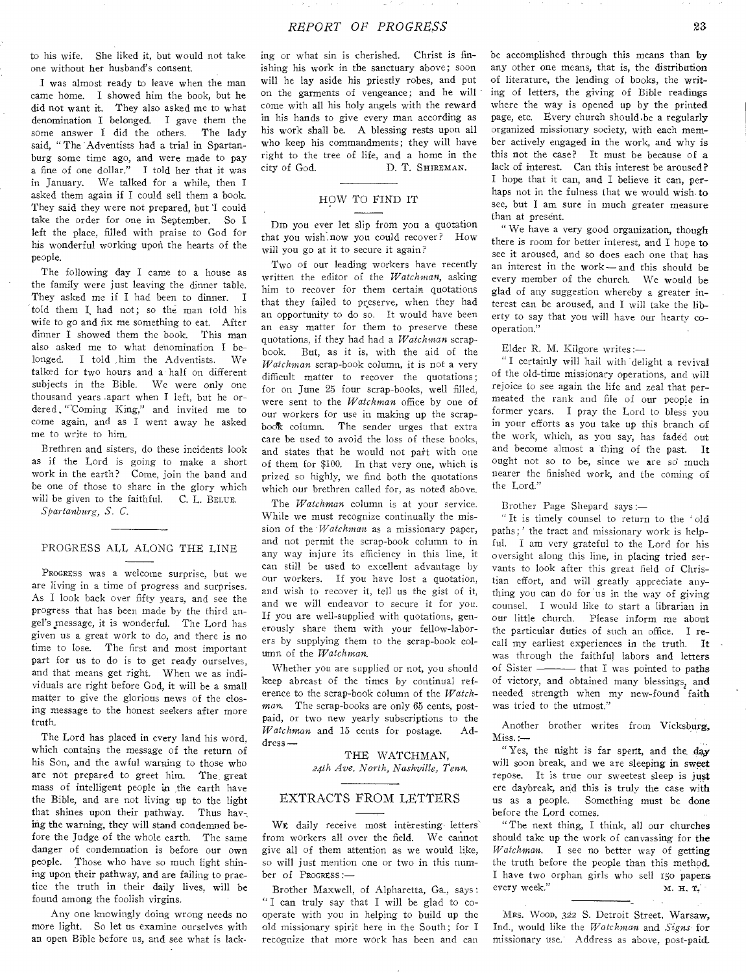to his wife. She liked it, but would not take one without her husband's consent.

I was almost ready to leave when the man came home. I showed him the book, but he did not want it. They also asked me to what denomination I belonged. I gave them the some answer I did the others. The lady said, "The Adventists had a trial in Spartanburg some time ago, and were made to pay a fine of one dollar." I told her that it was in January. We talked for a while, then I asked them again if I could sell them a book. They said they were not prepared, but 'I could take the order for one in September. So I left the place, filled with praise to God for his wonderful working upon the hearts of the people.

The following day I came to a house as the family were just leaving the dinner table. They asked me if I had been to dinner. I told them I had not; so the man told his wife to go and fix me something to eat. After dinner I showed them the book. This man also asked me to what denomination I be-I told him the Adventists. We talked for two hours and a half on different subjects in the Bible. We were only one thousand years .apart when I left, but he ordered "Coming King," and invited me to come again, and as I went away he asked me to write to him.

Brethren and sisters, do these incidents look as if the Lord is going to make a short work in the earth? Come, join the band and be one of those to share in the glory which will be given to the faithful. C. L. BELUE.

*Spartanburg, S. C.* 

# PROGRESS ALL ALONG THE LINE

PROGRESS was a welcome surprise, but we are living in a time of progress and surprises. As I look back over fifty years, and see the progress that has been made by the third angel's message, it is wonderful. The Lord has given us a great work to do, and there is no time to lose. The first and most important part for us to do is to get ready ourselves, and that means get right. When we as individuals are right before God, it will be a small matter to give the glorious news of the closing message to the honest seekers after more truth.

The Lord has placed in every land his word, which contains the message of the return of his Son, and the awful warning to those who are not prepared to greet him. The, great mass of intelligent people ia the earth have the Bible, and are not living up to the light that shines upon their pathway. Thus hay-, ing the warning, they will stand condemned before the Judge of the whole earth. The same danger of condemnation is before our own people. Those who have so much light shining upon their pathway, and are failing to practice the truth in their daily lives, will be found among the foolish virgins.

Any one knowingly doing wrong needs no more light. So let us examine ourselves with an open Bible before us, and, see what is lacking or what sin is cherished. Christ is finishing his work in the sanctuary above; soon will he lay aside his priestly robes, and put on the garments of vengeance; and he will come with all his holy angels with the reward in his hands to give every man according as his work shall be. A blessing rests upon all who keep his commandments; they will have right to the tree of life, and a home in the city of God. D. T. SHIREMAN.

# HOW TO FIND IT

Din you ever let slip from you a quotation that you wishi now you could recover? How will you go at it to secure it again?

Two of our leading workers have recently written the editor of the *Watchman,* asking him to recover for them certain quotations that they failed to preserve, when they had an opportunity to do so. It would have been an easy matter for them to preserve these quotations, if they had had a *Watchman* scrapbook. But, as it is, with the aid of the *Watchman* scrap-book column, it is not a very difficult matter to recover the quotations; for on June 25 four scrap-books, well filled, were sent to the *Watchman* office by one of our workers for use in making up the scrapbook column. The sender urges that extra care be used to avoid the loss of these books, and states that he would not pait with one of them for \$100. In that very one, which is prized so highly, we find both the quotations which our brethren called for, as noted above.

The *Watchman* column is at your service. While we must recognize continually the mission of the *Watchman* as a missionary paper, and not permit the scrap-book column to in any way injure its efficiency in this line, it can still be used to excellent advantage by our workers. If you have lost a quotation, and wish to recover it, tell us the gist of it, and we will endeavor to secure it for you. If you are well-supplied with quotations, generously share them with your fellow-laborers by supplying them to the scrap-book column of the *Watchman.* 

Whether you are supplied or not, you should keep abreast of the times by continual reference to the scrap-book column of the *Watchman.* The scrap-books are only 65 cents, postpaid, or two new yearly subscriptions to the *Watchman* and 15 cents for postage. Ad- $W$ atchman and 15 cents for postage. dress —

> THE WATCHMAN, *24th Ave. North, Nashville, Tenn.*

# EXTRACTS FROM LETTERS

WE daily receive most interesting letters from workers all over the field. We cannot give all of them attention as we would like, so will just mention one or two in this number of PROGRESS :—

Brother Maxwell, of Alpharetta, Ga., says: " I can truly say that I will be glad to cooperate with you in helping to build up the old missionary spirit here in the South; for I recognize that more work has been and can be accomplished through this means than by any other one means, that is, the distribution of literature, the lending of books, the writing of letters, the giving of Bible readings where the way is opened up by the printed page, etc. Every church should be a regularly organized missionary society, with each member actively engaged in the work, and why is this not the case? It must be because of a lack of interest. Can this interest be aroused? I hope that it can, and I believe it can, perhaps not in the fulness that we would wish, to see, but I am sure in much greater measure than at present.

" We have a very good organization, though there is room for better interest, and I hope to see it aroused, and so does each one that has an interest in the work — and this should be every member of the church. We would be glad of any suggestion whereby a greater interest can be aroused, and I will take the liberty to say that you will have our hearty cooperation."

# Elder R. M. Kilgore writes:—

" I certainly will hail with delight a revival of the old-time missionary operations, and will rejoice to see again the life and zeal that permeated the rank and file of our people in former years. I pray the Lord to bless you in your efforts as you take up this branch of the work, which, as you say, has faded out and become almost a thing of the past. It ought not so to be, since we are so much nearer the finished work, and the coming of the Lord."

Brother Page Shepard says :—

" It is timely counsel to return to the ' old paths; ' the tract and missionary work is helpful. I am very grateful to the Lord for his oversight along this line, in placing tried servants to look after this great field of Christian effort, and will greatly appreciate anything you can do for 'us in the way of giving counsel. I would like to start a librarian in our little church. Please inform me about the particular duties of such an office. I recall my earliest experiences in the truth. It was through the faithful labors and letters of Sister ———— that I was pointed to paths of victory, and obtained many blessings, and needed strength when my new-found faith was tried to the utmost."

Another brother writes from Vicksburg, Miss.:—

"Yes, the night is far spent, and the day will soon break, and we are sleeping in sweet repose. It is true our sweetest sleep is just ere daybreak, and this is truly the case with us as a people. Something must be done before the Lord comes.

"The next thing, I think, all our churches should take up the work of canvassing for the *Watchman.* I see no better way of getting the truth before the people than this method\_ I have two orphan girls who sell 150 papers<br>every week." M. H. T. every week."

MRS. WOOD, 322 S. Detroit Street, Warsaw, Ind., would like the *Watchman* and *Signs-* for missionary use." Address as above, post-paid.